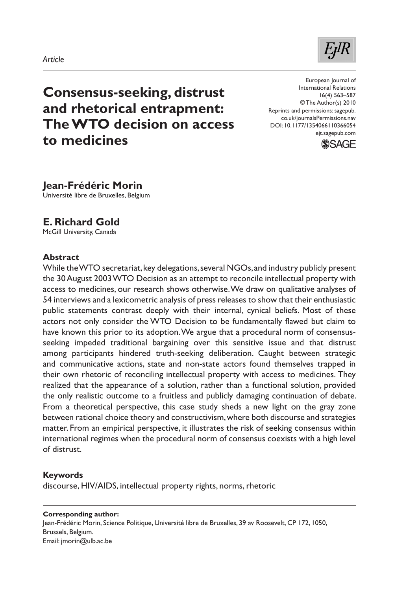

**Consensus-seeking, distrust and rhetorical entrapment: The WTO decision on access to medicines**

European Journal of International Relations 16(4) 563–587 © The Author(s) 2010 Reprints and permissions: sagepub. co.uk/journalsPermissions.nav DOI: 10.1177/1354066110366054 ejt.sagepub.com



# **Jean-Frédéric Morin**

Université libre de Bruxelles, Belgium

# **E. Richard Gold**

McGill University, Canada

## **Abstract**

While the WTO secretariat, key delegations, several NGOs, and industry publicly present the 30 August 2003 WTO Decision as an attempt to reconcile intellectual property with access to medicines, our research shows otherwise. We draw on qualitative analyses of 54 interviews and a lexicometric analysis of press releases to show that their enthusiastic public statements contrast deeply with their internal, cynical beliefs. Most of these actors not only consider the WTO Decision to be fundamentally flawed but claim to have known this prior to its adoption. We argue that a procedural norm of consensusseeking impeded traditional bargaining over this sensitive issue and that distrust among participants hindered truth-seeking deliberation. Caught between strategic and communicative actions, state and non-state actors found themselves trapped in their own rhetoric of reconciling intellectual property with access to medicines. They realized that the appearance of a solution, rather than a functional solution, provided the only realistic outcome to a fruitless and publicly damaging continuation of debate. From a theoretical perspective, this case study sheds a new light on the gray zone between rational choice theory and constructivism, where both discourse and strategies matter. From an empirical perspective, it illustrates the risk of seeking consensus within international regimes when the procedural norm of consensus coexists with a high level of distrust.

# **Keywords**

discourse, HIV/AIDS, intellectual property rights, norms, rhetoric

**Corresponding author:** Jean-Frédéric Morin, Science Politique, Université libre de Bruxelles, 39 av Roosevelt, CP 172, 1050, Brussels, Belgium. Email: jmorin@ulb.ac.be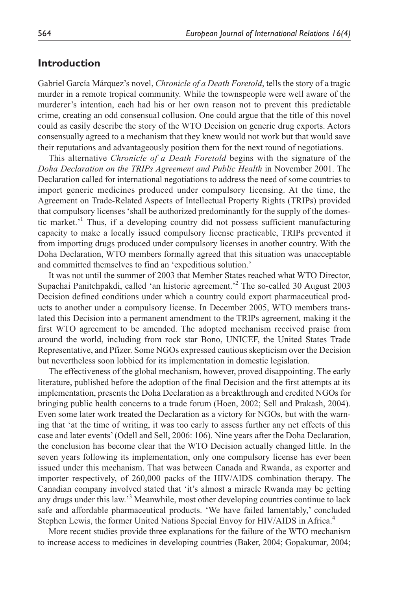# **Introduction**

Gabriel García Márquez's novel, *Chronicle of a Death Foretold*, tells the story of a tragic murder in a remote tropical community. While the townspeople were well aware of the murderer's intention, each had his or her own reason not to prevent this predictable crime, creating an odd consensual collusion. One could argue that the title of this novel could as easily describe the story of the WTO Decision on generic drug exports. Actors consensually agreed to a mechanism that they knew would not work but that would save their reputations and advantageously position them for the next round of negotiations.

This alternative *Chronicle of a Death Foretold* begins with the signature of the *Doha Declaration on the TRIPs Agreement and Public Health* in November 2001. The Declaration called for international negotiations to address the need of some countries to import generic medicines produced under compulsory licensing. At the time, the Agreement on Trade-Related Aspects of Intellectual Property Rights (TRIPs) provided that compulsory licenses 'shall be authorized predominantly for the supply of the domestic market.<sup>1</sup> Thus, if a developing country did not possess sufficient manufacturing capacity to make a locally issued compulsory license practicable, TRIPs prevented it from importing drugs produced under compulsory licenses in another country. With the Doha Declaration, WTO members formally agreed that this situation was unacceptable and committed themselves to find an 'expeditious solution.'

It was not until the summer of 2003 that Member States reached what WTO Director, Supachai Panitchpakdi, called 'an historic agreement.<sup>22</sup> The so-called 30 August 2003 Decision defined conditions under which a country could export pharmaceutical products to another under a compulsory license. In December 2005, WTO members translated this Decision into a permanent amendment to the TRIPs agreement, making it the first WTO agreement to be amended. The adopted mechanism received praise from around the world, including from rock star Bono, UNICEF, the United States Trade Representative, and Pfizer. Some NGOs expressed cautious skepticism over the Decision but nevertheless soon lobbied for its implementation in domestic legislation.

The effectiveness of the global mechanism, however, proved disappointing. The early literature, published before the adoption of the final Decision and the first attempts at its implementation, presents the Doha Declaration as a breakthrough and credited NGOs for bringing public health concerns to a trade forum (Hoen, 2002; Sell and Prakash, 2004). Even some later work treated the Declaration as a victory for NGOs, but with the warning that 'at the time of writing, it was too early to assess further any net effects of this case and later events' (Odell and Sell, 2006: 106). Nine years after the Doha Declaration, the conclusion has become clear that the WTO Decision actually changed little. In the seven years following its implementation, only one compulsory license has ever been issued under this mechanism. That was between Canada and Rwanda, as exporter and importer respectively, of 260,000 packs of the HIV/AIDS combination therapy. The Canadian company involved stated that 'it's almost a miracle Rwanda may be getting any drugs under this law.<sup>3</sup> Meanwhile, most other developing countries continue to lack safe and affordable pharmaceutical products. 'We have failed lamentably,' concluded Stephen Lewis, the former United Nations Special Envoy for HIV/AIDS in Africa.<sup>4</sup>

More recent studies provide three explanations for the failure of the WTO mechanism to increase access to medicines in developing countries (Baker, 2004; Gopakumar, 2004;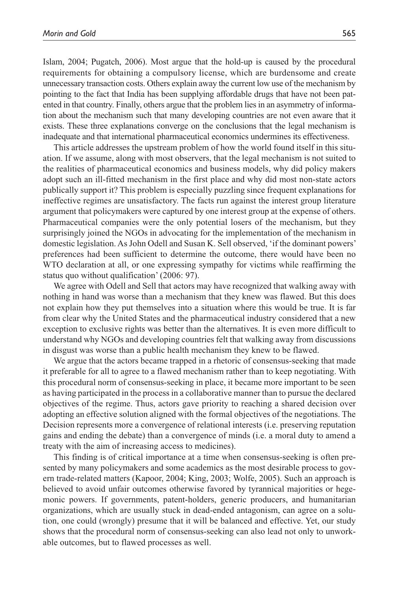Islam, 2004; Pugatch, 2006). Most argue that the hold-up is caused by the procedural requirements for obtaining a compulsory license, which are burdensome and create unnecessary transaction costs. Others explain away the current low use of the mechanism by pointing to the fact that India has been supplying affordable drugs that have not been patented in that country. Finally, others argue that the problem lies in an asymmetry of information about the mechanism such that many developing countries are not even aware that it exists. These three explanations converge on the conclusions that the legal mechanism is inadequate and that international pharmaceutical economics undermines its effectiveness.

This article addresses the upstream problem of how the world found itself in this situation. If we assume, along with most observers, that the legal mechanism is not suited to the realities of pharmaceutical economics and business models, why did policy makers adopt such an ill-fitted mechanism in the first place and why did most non-state actors publically support it? This problem is especially puzzling since frequent explanations for ineffective regimes are unsatisfactory. The facts run against the interest group literature argument that policymakers were captured by one interest group at the expense of others. Pharmaceutical companies were the only potential losers of the mechanism, but they surprisingly joined the NGOs in advocating for the implementation of the mechanism in domestic legislation. As John Odell and Susan K. Sell observed, 'if the dominant powers' preferences had been sufficient to determine the outcome, there would have been no WTO declaration at all, or one expressing sympathy for victims while reaffirming the status quo without qualification' (2006: 97).

We agree with Odell and Sell that actors may have recognized that walking away with nothing in hand was worse than a mechanism that they knew was flawed. But this does not explain how they put themselves into a situation where this would be true. It is far from clear why the United States and the pharmaceutical industry considered that a new exception to exclusive rights was better than the alternatives. It is even more difficult to understand why NGOs and developing countries felt that walking away from discussions in disgust was worse than a public health mechanism they knew to be flawed.

We argue that the actors became trapped in a rhetoric of consensus-seeking that made it preferable for all to agree to a flawed mechanism rather than to keep negotiating. With this procedural norm of consensus-seeking in place, it became more important to be seen as having participated in the process in a collaborative manner than to pursue the declared objectives of the regime. Thus, actors gave priority to reaching a shared decision over adopting an effective solution aligned with the formal objectives of the negotiations. The Decision represents more a convergence of relational interests (i.e. preserving reputation gains and ending the debate) than a convergence of minds (i.e. a moral duty to amend a treaty with the aim of increasing access to medicines).

This finding is of critical importance at a time when consensus-seeking is often presented by many policymakers and some academics as the most desirable process to govern trade-related matters (Kapoor, 2004; King, 2003; Wolfe, 2005). Such an approach is believed to avoid unfair outcomes otherwise favored by tyrannical majorities or hegemonic powers. If governments, patent-holders, generic producers, and humanitarian organizations, which are usually stuck in dead-ended antagonism, can agree on a solution, one could (wrongly) presume that it will be balanced and effective. Yet, our study shows that the procedural norm of consensus-seeking can also lead not only to unworkable outcomes, but to flawed processes as well.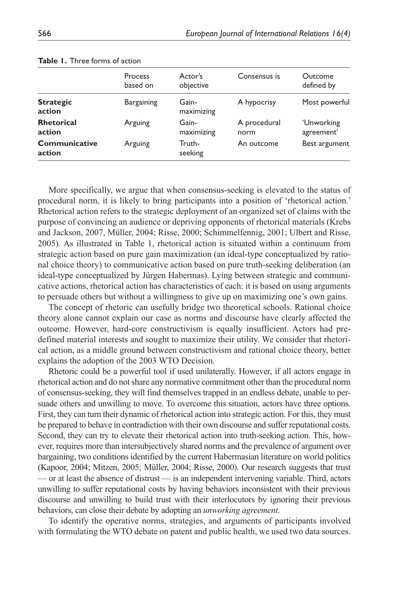|                             | Process<br>based on | Actor's<br>objective | Consensus is         | Outcome<br>defined by    |
|-----------------------------|---------------------|----------------------|----------------------|--------------------------|
| <b>Strategic</b><br>action  | <b>Bargaining</b>   | Gain-<br>maximizing  | A hypocrisy          | Most powerful            |
| <b>Rhetorical</b><br>action | Arguing             | Gain-<br>maximizing  | A procedural<br>norm | 'Unworking<br>agreement' |
| Communicative<br>action     | Arguing             | Truth-<br>seeking    | An outcome           | Best argument            |

#### **Table 1.** Three forms of action

More specifically, we argue that when consensus-seeking is elevated to the status of procedural norm, it is likely to bring participants into a position of 'rhetorical action.' Rhetorical action refers to the strategic deployment of an organized set of claims with the purpose of convincing an audience or depriving opponents of rhetorical materials (Krebs and Jackson, 2007, Müller, 2004; Risse, 2000; Schimmelfennig, 2001; Ulbert and Risse, 2005). As illustrated in Table 1, rhetorical action is situated within a continuum from strategic action based on pure gain maximization (an ideal-type conceptualized by rational choice theory) to communicative action based on pure truth-seeking deliberation (an ideal-type conceptualized by Jürgen Habermas). Lying between strategic and communicative actions, rhetorical action has characteristics of each: it is based on using arguments to persuade others but without a willingness to give up on maximizing one's own gains.

The concept of rhetoric can usefully bridge two theoretical schools. Rational choice theory alone cannot explain our case as norms and discourse have clearly affected the outcome. However, hard-core constructivism is equally insufficient. Actors had predefined material interests and sought to maximize their utility. We consider that rhetorical action, as a middle ground between constructivism and rational choice theory, better explains the adoption of the 2003 WTO Decision.

Rhetoric could be a powerful tool if used unilaterally. However, if all actors engage in rhetorical action and do not share any normative commitment other than the procedural norm of consensus-seeking, they will find themselves trapped in an endless debate, unable to persuade others and unwilling to move. To overcome this situation, actors have three options. First, they can turn their dynamic of rhetorical action into strategic action. For this, they must be prepared to behave in contradiction with their own discourse and suffer reputational costs. Second, they can try to elevate their rhetorical action into truth-seeking action. This, however, requires more than intersubjectively shared norms and the prevalence of argument over bargaining, two conditions identified by the current Habermasian literature on world politics (Kapoor, 2004; Mitzen, 2005; Müller, 2004; Risse, 2000). Our research suggests that trust — or at least the absence of distrust — is an independent intervening variable. Third, actors unwilling to suffer reputational costs by having behaviors inconsistent with their previous discourse and unwilling to build trust with their interlocutors by ignoring their previous behaviors, can close their debate by adopting an *unworking agreement*.

To identify the operative norms, strategies, and arguments of participants involved with formulating the WTO debate on patent and public health, we used two data sources.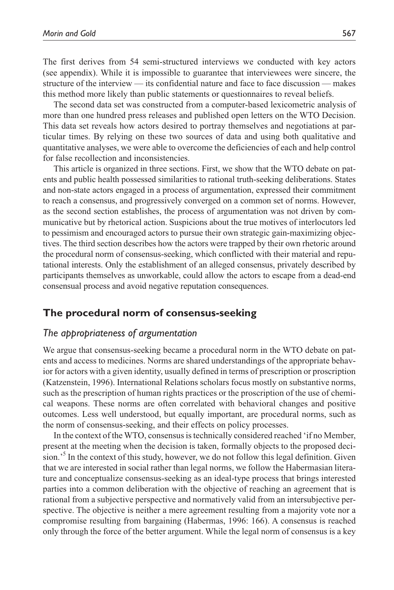The first derives from 54 semi-structured interviews we conducted with key actors (see appendix). While it is impossible to guarantee that interviewees were sincere, the structure of the interview — its confidential nature and face to face discussion — makes this method more likely than public statements or questionnaires to reveal beliefs.

The second data set was constructed from a computer-based lexicometric analysis of more than one hundred press releases and published open letters on the WTO Decision. This data set reveals how actors desired to portray themselves and negotiations at particular times. By relying on these two sources of data and using both qualitative and quantitative analyses, we were able to overcome the deficiencies of each and help control for false recollection and inconsistencies.

This article is organized in three sections. First, we show that the WTO debate on patents and public health possessed similarities to rational truth-seeking deliberations. States and non-state actors engaged in a process of argumentation, expressed their commitment to reach a consensus, and progressively converged on a common set of norms. However, as the second section establishes, the process of argumentation was not driven by communicative but by rhetorical action. Suspicions about the true motives of interlocutors led to pessimism and encouraged actors to pursue their own strategic gain-maximizing objectives. The third section describes how the actors were trapped by their own rhetoric around the procedural norm of consensus-seeking, which conflicted with their material and reputational interests. Only the establishment of an alleged consensus, privately described by participants themselves as unworkable, could allow the actors to escape from a dead-end consensual process and avoid negative reputation consequences.

# **The procedural norm of consensus-seeking**

## *The appropriateness of argumentation*

We argue that consensus-seeking became a procedural norm in the WTO debate on patents and access to medicines. Norms are shared understandings of the appropriate behavior for actors with a given identity, usually defined in terms of prescription or proscription (Katzenstein, 1996). International Relations scholars focus mostly on substantive norms, such as the prescription of human rights practices or the proscription of the use of chemical weapons. These norms are often correlated with behavioral changes and positive outcomes. Less well understood, but equally important, are procedural norms, such as the norm of consensus-seeking, and their effects on policy processes.

In the context of the WTO, consensus is technically considered reached 'if no Member, present at the meeting when the decision is taken, formally objects to the proposed decision.<sup>55</sup> In the context of this study, however, we do not follow this legal definition. Given that we are interested in social rather than legal norms, we follow the Habermasian literature and conceptualize consensus-seeking as an ideal-type process that brings interested parties into a common deliberation with the objective of reaching an agreement that is rational from a subjective perspective and normatively valid from an intersubjective perspective. The objective is neither a mere agreement resulting from a majority vote nor a compromise resulting from bargaining (Habermas, 1996: 166). A consensus is reached only through the force of the better argument. While the legal norm of consensus is a key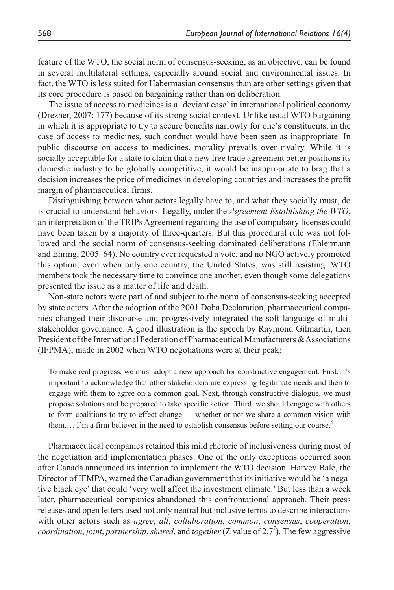feature of the WTO, the social norm of consensus-seeking, as an objective, can be found in several multilateral settings, especially around social and environmental issues. In fact, the WTO is less suited for Habermasian consensus than are other settings given that its core procedure is based on bargaining rather than on deliberation.

The issue of access to medicines is a 'deviant case' in international political economy (Drezner, 2007: 177) because of its strong social context. Unlike usual WTO bargaining in which it is appropriate to try to secure benefits narrowly for one's constituents, in the case of access to medicines, such conduct would have been seen as inappropriate. In public discourse on access to medicines, morality prevails over rivalry. While it is socially acceptable for a state to claim that a new free trade agreement better positions its domestic industry to be globally competitive, it would be inappropriate to brag that a decision increases the price of medicines in developing countries and increases the profit margin of pharmaceutical firms.

Distinguishing between what actors legally have to, and what they socially must, do is crucial to understand behaviors. Legally, under the *Agreement Establishing the WTO*, an interpretation of the TRIPs Agreement regarding the use of compulsory licenses could have been taken by a majority of three-quarters. But this procedural rule was not followed and the social norm of consensus-seeking dominated deliberations (Ehlermann and Ehring, 2005: 64). No country ever requested a vote, and no NGO actively promoted this option, even when only one country, the United States, was still resisting. WTO members took the necessary time to convince one another, even though some delegations presented the issue as a matter of life and death.

Non-state actors were part of and subject to the norm of consensus-seeking accepted by state actors. After the adoption of the 2001 Doha Declaration, pharmaceutical companies changed their discourse and progressively integrated the soft language of multistakeholder governance. A good illustration is the speech by Raymond Gilmartin, then President of the International Federation of Pharmaceutical Manufacturers & Associations (IFPMA), made in 2002 when WTO negotiations were at their peak:

To make real progress, we must adopt a new approach for constructive engagement. First, it's important to acknowledge that other stakeholders are expressing legitimate needs and then to engage with them to agree on a common goal. Next, through constructive dialogue, we must propose solutions and be prepared to take specific action. Third, we should engage with others to form coalitions to try to effect change — whether or not we share a common vision with them.... I'm a firm believer in the need to establish consensus before setting our course.<sup>6</sup>

Pharmaceutical companies retained this mild rhetoric of inclusiveness during most of the negotiation and implementation phases. One of the only exceptions occurred soon after Canada announced its intention to implement the WTO decision. Harvey Bale, the Director of IFMPA, warned the Canadian government that its initiative would be 'a negative black eye' that could 'very well affect the investment climate.' But less than a week later, pharmaceutical companies abandoned this confrontational approach. Their press releases and open letters used not only neutral but inclusive terms to describe interactions with other actors such as *agree*, *all*, *collaboration*, *common*, *consensus*, *cooperation*, *coordination*, *joint*, *partnership*, *shared*, and *together* (Z value of 2.77 ). The few aggressive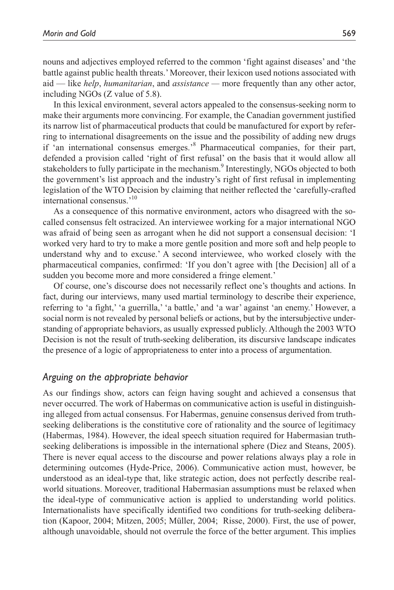nouns and adjectives employed referred to the common 'fight against diseases' and 'the battle against public health threats.' Moreover, their lexicon used notions associated with aid — like *help*, *humanitarian*, and *assistance —* more frequently than any other actor, including NGOs (Z value of 5.8).

In this lexical environment, several actors appealed to the consensus-seeking norm to make their arguments more convincing. For example, the Canadian government justified its narrow list of pharmaceutical products that could be manufactured for export by referring to international disagreements on the issue and the possibility of adding new drugs if 'an international consensus emerges.<sup>8</sup> Pharmaceutical companies, for their part, defended a provision called 'right of first refusal' on the basis that it would allow all stakeholders to fully participate in the mechanism.<sup>9</sup> Interestingly, NGOs objected to both the government's list approach and the industry's right of first refusal in implementing legislation of the WTO Decision by claiming that neither reflected the 'carefully-crafted international consensus.'10

As a consequence of this normative environment, actors who disagreed with the socalled consensus felt ostracized. An interviewee working for a major international NGO was afraid of being seen as arrogant when he did not support a consensual decision: 'I worked very hard to try to make a more gentle position and more soft and help people to understand why and to excuse.' A second interviewee, who worked closely with the pharmaceutical companies, confirmed: 'If you don't agree with [the Decision] all of a sudden you become more and more considered a fringe element.'

Of course, one's discourse does not necessarily reflect one's thoughts and actions. In fact, during our interviews, many used martial terminology to describe their experience, referring to 'a fight,' 'a guerrilla,' 'a battle,' and 'a war' against 'an enemy.' However, a social norm is not revealed by personal beliefs or actions, but by the intersubjective understanding of appropriate behaviors, as usually expressed publicly. Although the 2003 WTO Decision is not the result of truth-seeking deliberation, its discursive landscape indicates the presence of a logic of appropriateness to enter into a process of argumentation.

## *Arguing on the appropriate behavior*

As our findings show, actors can feign having sought and achieved a consensus that never occurred. The work of Habermas on communicative action is useful in distinguishing alleged from actual consensus. For Habermas, genuine consensus derived from truthseeking deliberations is the constitutive core of rationality and the source of legitimacy (Habermas, 1984). However, the ideal speech situation required for Habermasian truthseeking deliberations is impossible in the international sphere (Diez and Steans, 2005). There is never equal access to the discourse and power relations always play a role in determining outcomes (Hyde-Price, 2006). Communicative action must, however, be understood as an ideal-type that, like strategic action, does not perfectly describe realworld situations. Moreover, traditional Habermasian assumptions must be relaxed when the ideal-type of communicative action is applied to understanding world politics. Internationalists have specifically identified two conditions for truth-seeking deliberation (Kapoor, 2004; Mitzen, 2005; Müller, 2004; Risse, 2000). First, the use of power, although unavoidable, should not overrule the force of the better argument. This implies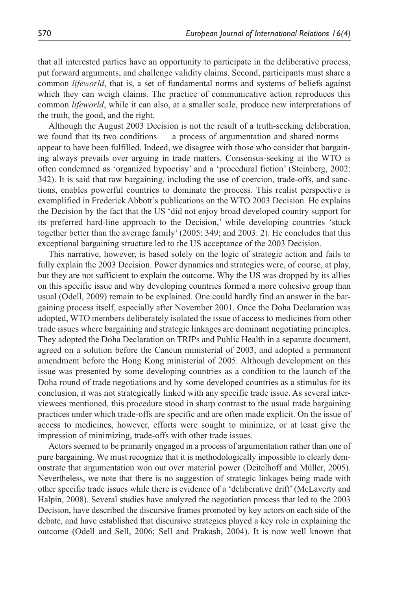that all interested parties have an opportunity to participate in the deliberative process, put forward arguments, and challenge validity claims. Second, participants must share a common *lifeworld*, that is, a set of fundamental norms and systems of beliefs against which they can weigh claims. The practice of communicative action reproduces this common *lifeworld*, while it can also, at a smaller scale, produce new interpretations of the truth, the good, and the right.

Although the August 2003 Decision is not the result of a truth-seeking deliberation, we found that its two conditions — a process of argumentation and shared norms appear to have been fulfilled. Indeed, we disagree with those who consider that bargaining always prevails over arguing in trade matters. Consensus-seeking at the WTO is often condemned as 'organized hypocrisy' and a 'procedural fiction' (Steinberg, 2002: 342). It is said that raw bargaining, including the use of coercion, trade-offs, and sanctions, enables powerful countries to dominate the process. This realist perspective is exemplified in Frederick Abbott's publications on the WTO 2003 Decision. He explains the Decision by the fact that the US 'did not enjoy broad developed country support for its preferred hard-line approach to the Decision,' while developing countries 'stuck together better than the average family' (2005: 349; and 2003: 2). He concludes that this exceptional bargaining structure led to the US acceptance of the 2003 Decision.

This narrative, however, is based solely on the logic of strategic action and fails to fully explain the 2003 Decision. Power dynamics and strategies were, of course, at play, but they are not sufficient to explain the outcome. Why the US was dropped by its allies on this specific issue and why developing countries formed a more cohesive group than usual (Odell, 2009) remain to be explained. One could hardly find an answer in the bargaining process itself, especially after November 2001. Once the Doha Declaration was adopted, WTO members deliberately isolated the issue of access to medicines from other trade issues where bargaining and strategic linkages are dominant negotiating principles. They adopted the Doha Declaration on TRIPs and Public Health in a separate document, agreed on a solution before the Cancun ministerial of 2003, and adopted a permanent amendment before the Hong Kong ministerial of 2005. Although development on this issue was presented by some developing countries as a condition to the launch of the Doha round of trade negotiations and by some developed countries as a stimulus for its conclusion, it was not strategically linked with any specific trade issue. As several interviewees mentioned, this procedure stood in sharp contrast to the usual trade bargaining practices under which trade-offs are specific and are often made explicit. On the issue of access to medicines, however, efforts were sought to minimize, or at least give the impression of minimizing, trade-offs with other trade issues.

Actors seemed to be primarily engaged in a process of argumentation rather than one of pure bargaining. We must recognize that it is methodologically impossible to clearly demonstrate that argumentation won out over material power (Deitelhoff and Müller, 2005). Nevertheless, we note that there is no suggestion of strategic linkages being made with other specific trade issues while there is evidence of a 'deliberative drift' (McLaverty and Halpin, 2008). Several studies have analyzed the negotiation process that led to the 2003 Decision, have described the discursive frames promoted by key actors on each side of the debate, and have established that discursive strategies played a key role in explaining the outcome (Odell and Sell, 2006; Sell and Prakash, 2004). It is now well known that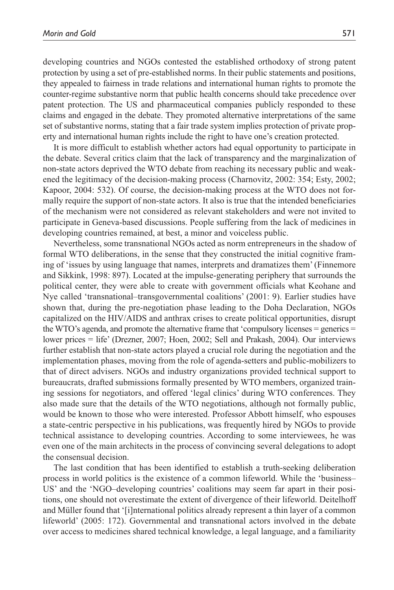developing countries and NGOs contested the established orthodoxy of strong patent protection by using a set of pre-established norms. In their public statements and positions, they appealed to fairness in trade relations and international human rights to promote the counter-regime substantive norm that public health concerns should take precedence over patent protection. The US and pharmaceutical companies publicly responded to these claims and engaged in the debate. They promoted alternative interpretations of the same set of substantive norms, stating that a fair trade system implies protection of private property and international human rights include the right to have one's creation protected.

It is more difficult to establish whether actors had equal opportunity to participate in the debate. Several critics claim that the lack of transparency and the marginalization of non-state actors deprived the WTO debate from reaching its necessary public and weakened the legitimacy of the decision-making process (Charnovitz, 2002: 354; Esty, 2002; Kapoor, 2004: 532). Of course, the decision-making process at the WTO does not formally require the support of non-state actors. It also is true that the intended beneficiaries of the mechanism were not considered as relevant stakeholders and were not invited to participate in Geneva-based discussions. People suffering from the lack of medicines in developing countries remained, at best, a minor and voiceless public.

Nevertheless, some transnational NGOs acted as norm entrepreneurs in the shadow of formal WTO deliberations, in the sense that they constructed the initial cognitive framing of 'issues by using language that names, interprets and dramatizes them' (Finnemore and Sikkink, 1998: 897). Located at the impulse-generating periphery that surrounds the political center, they were able to create with government officials what Keohane and Nye called 'transnational–transgovernmental coalitions' (2001: 9). Earlier studies have shown that, during the pre-negotiation phase leading to the Doha Declaration, NGOs capitalized on the HIV/AIDS and anthrax crises to create political opportunities, disrupt the WTO's agenda, and promote the alternative frame that 'compulsory licenses = generics = lower prices = life' (Drezner, 2007; Hoen, 2002; Sell and Prakash, 2004). Our interviews further establish that non-state actors played a crucial role during the negotiation and the implementation phases, moving from the role of agenda-setters and public-mobilizers to that of direct advisers. NGOs and industry organizations provided technical support to bureaucrats, drafted submissions formally presented by WTO members, organized training sessions for negotiators, and offered 'legal clinics' during WTO conferences. They also made sure that the details of the WTO negotiations, although not formally public, would be known to those who were interested. Professor Abbott himself, who espouses a state-centric perspective in his publications, was frequently hired by NGOs to provide technical assistance to developing countries. According to some interviewees, he was even one of the main architects in the process of convincing several delegations to adopt the consensual decision.

The last condition that has been identified to establish a truth-seeking deliberation process in world politics is the existence of a common lifeworld. While the 'business– US' and the 'NGO–developing countries' coalitions may seem far apart in their positions, one should not overestimate the extent of divergence of their lifeworld. Deitelhoff and Müller found that '[i]nternational politics already represent a thin layer of a common lifeworld' (2005: 172). Governmental and transnational actors involved in the debate over access to medicines shared technical knowledge, a legal language, and a familiarity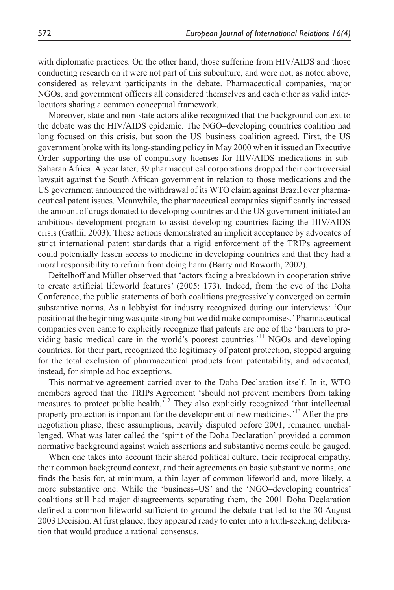with diplomatic practices. On the other hand, those suffering from HIV/AIDS and those conducting research on it were not part of this subculture, and were not, as noted above, considered as relevant participants in the debate. Pharmaceutical companies, major NGOs, and government officers all considered themselves and each other as valid interlocutors sharing a common conceptual framework.

Moreover, state and non-state actors alike recognized that the background context to the debate was the HIV/AIDS epidemic. The NGO–developing countries coalition had long focused on this crisis, but soon the US–business coalition agreed. First, the US government broke with its long-standing policy in May 2000 when it issued an Executive Order supporting the use of compulsory licenses for HIV/AIDS medications in sub-Saharan Africa. A year later, 39 pharmaceutical corporations dropped their controversial lawsuit against the South African government in relation to those medications and the US government announced the withdrawal of its WTO claim against Brazil over pharmaceutical patent issues. Meanwhile, the pharmaceutical companies significantly increased the amount of drugs donated to developing countries and the US government initiated an ambitious development program to assist developing countries facing the HIV/AIDS crisis (Gathii, 2003). These actions demonstrated an implicit acceptance by advocates of strict international patent standards that a rigid enforcement of the TRIPs agreement could potentially lessen access to medicine in developing countries and that they had a moral responsibility to refrain from doing harm (Barry and Raworth, 2002).

Deitelhoff and Müller observed that 'actors facing a breakdown in cooperation strive to create artificial lifeworld features' (2005: 173). Indeed, from the eve of the Doha Conference, the public statements of both coalitions progressively converged on certain substantive norms. As a lobbyist for industry recognized during our interviews: 'Our position at the beginning was quite strong but we did make compromises.' Pharmaceutical companies even came to explicitly recognize that patents are one of the 'barriers to providing basic medical care in the world's poorest countries.'11 NGOs and developing countries, for their part, recognized the legitimacy of patent protection, stopped arguing for the total exclusion of pharmaceutical products from patentability, and advocated, instead, for simple ad hoc exceptions.

This normative agreement carried over to the Doha Declaration itself. In it, WTO members agreed that the TRIPs Agreement 'should not prevent members from taking measures to protect public health.'12 They also explicitly recognized 'that intellectual property protection is important for the development of new medicines.<sup>'13</sup> After the prenegotiation phase, these assumptions, heavily disputed before 2001, remained unchallenged. What was later called the 'spirit of the Doha Declaration' provided a common normative background against which assertions and substantive norms could be gauged.

When one takes into account their shared political culture, their reciprocal empathy, their common background context, and their agreements on basic substantive norms, one finds the basis for, at minimum, a thin layer of common lifeworld and, more likely, a more substantive one. While the 'business–US' and the 'NGO–developing countries' coalitions still had major disagreements separating them, the 2001 Doha Declaration defined a common lifeworld sufficient to ground the debate that led to the 30 August 2003 Decision. At first glance, they appeared ready to enter into a truth-seeking deliberation that would produce a rational consensus.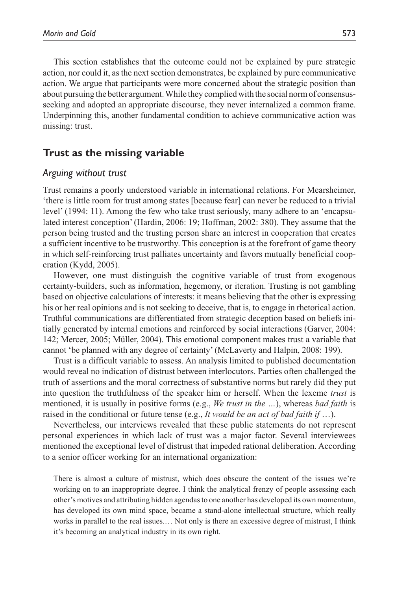This section establishes that the outcome could not be explained by pure strategic action, nor could it, as the next section demonstrates, be explained by pure communicative action. We argue that participants were more concerned about the strategic position than about pursuing the better argument. While they complied with the social norm of consensusseeking and adopted an appropriate discourse, they never internalized a common frame. Underpinning this, another fundamental condition to achieve communicative action was missing: trust.

# **Trust as the missing variable**

#### *Arguing without trust*

Trust remains a poorly understood variable in international relations. For Mearsheimer, 'there is little room for trust among states [because fear] can never be reduced to a trivial level' (1994: 11). Among the few who take trust seriously, many adhere to an 'encapsulated interest conception' (Hardin, 2006: 19; Hoffman, 2002: 380). They assume that the person being trusted and the trusting person share an interest in cooperation that creates a sufficient incentive to be trustworthy. This conception is at the forefront of game theory in which self-reinforcing trust palliates uncertainty and favors mutually beneficial cooperation (Kydd, 2005).

However, one must distinguish the cognitive variable of trust from exogenous certainty-builders, such as information, hegemony, or iteration. Trusting is not gambling based on objective calculations of interests: it means believing that the other is expressing his or her real opinions and is not seeking to deceive, that is, to engage in rhetorical action. Truthful communications are differentiated from strategic deception based on beliefs initially generated by internal emotions and reinforced by social interactions (Garver, 2004: 142; Mercer, 2005; Müller, 2004). This emotional component makes trust a variable that cannot 'be planned with any degree of certainty' (McLaverty and Halpin, 2008: 199).

Trust is a difficult variable to assess. An analysis limited to published documentation would reveal no indication of distrust between interlocutors. Parties often challenged the truth of assertions and the moral correctness of substantive norms but rarely did they put into question the truthfulness of the speaker him or herself. When the lexeme *trust* is mentioned, it is usually in positive forms (e.g., *We trust in the …*), whereas *bad faith* is raised in the conditional or future tense (e.g., *It would be an act of bad faith if* …).

Nevertheless, our interviews revealed that these public statements do not represent personal experiences in which lack of trust was a major factor. Several interviewees mentioned the exceptional level of distrust that impeded rational deliberation. According to a senior officer working for an international organization:

There is almost a culture of mistrust, which does obscure the content of the issues we're working on to an inappropriate degree. I think the analytical frenzy of people assessing each other's motives and attributing hidden agendas to one another has developed its own momentum, has developed its own mind space, became a stand-alone intellectual structure, which really works in parallel to the real issues.… Not only is there an excessive degree of mistrust, I think it's becoming an analytical industry in its own right.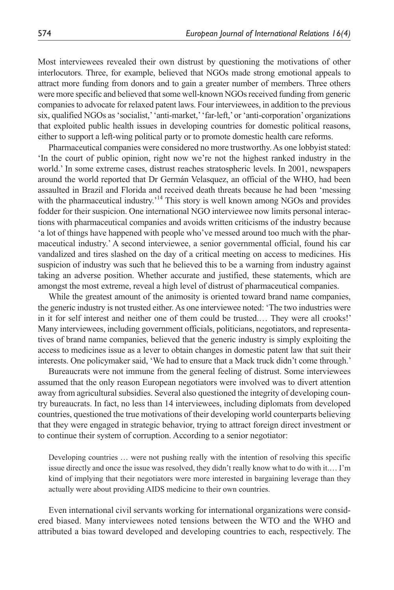Most interviewees revealed their own distrust by questioning the motivations of other interlocutors. Three, for example, believed that NGOs made strong emotional appeals to attract more funding from donors and to gain a greater number of members. Three others were more specific and believed that some well-known NGOs received funding from generic companies to advocate for relaxed patent laws. Four interviewees, in addition to the previous six, qualified NGOs as 'socialist,' 'anti-market,' 'far-left,' or 'anti-corporation' organizations that exploited public health issues in developing countries for domestic political reasons, either to support a left-wing political party or to promote domestic health care reforms.

Pharmaceutical companies were considered no more trustworthy. As one lobbyist stated: 'In the court of public opinion, right now we're not the highest ranked industry in the world.' In some extreme cases, distrust reaches stratospheric levels. In 2001, newspapers around the world reported that Dr Germán Velasquez, an official of the WHO, had been assaulted in Brazil and Florida and received death threats because he had been 'messing with the pharmaceutical industry.<sup>14</sup> This story is well known among NGOs and provides fodder for their suspicion. One international NGO interviewee now limits personal interactions with pharmaceutical companies and avoids written criticisms of the industry because 'a lot of things have happened with people who've messed around too much with the pharmaceutical industry.' A second interviewee, a senior governmental official, found his car vandalized and tires slashed on the day of a critical meeting on access to medicines. His suspicion of industry was such that he believed this to be a warning from industry against taking an adverse position. Whether accurate and justified, these statements, which are amongst the most extreme, reveal a high level of distrust of pharmaceutical companies.

While the greatest amount of the animosity is oriented toward brand name companies, the generic industry is not trusted either. As one interviewee noted: 'The two industries were in it for self interest and neither one of them could be trusted.… They were all crooks!' Many interviewees, including government officials, politicians, negotiators, and representatives of brand name companies, believed that the generic industry is simply exploiting the access to medicines issue as a lever to obtain changes in domestic patent law that suit their interests. One policymaker said, 'We had to ensure that a Mack truck didn't come through.'

Bureaucrats were not immune from the general feeling of distrust. Some interviewees assumed that the only reason European negotiators were involved was to divert attention away from agricultural subsidies. Several also questioned the integrity of developing country bureaucrats. In fact, no less than 14 interviewees, including diplomats from developed countries, questioned the true motivations of their developing world counterparts believing that they were engaged in strategic behavior, trying to attract foreign direct investment or to continue their system of corruption. According to a senior negotiator:

Developing countries … were not pushing really with the intention of resolving this specific issue directly and once the issue was resolved, they didn't really know what to do with it.… I'm kind of implying that their negotiators were more interested in bargaining leverage than they actually were about providing AIDS medicine to their own countries.

Even international civil servants working for international organizations were considered biased. Many interviewees noted tensions between the WTO and the WHO and attributed a bias toward developed and developing countries to each, respectively. The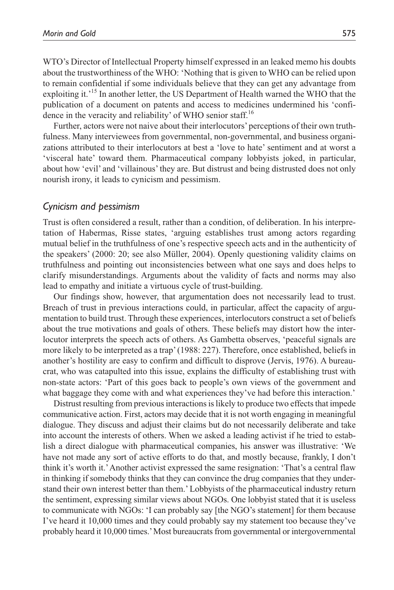WTO's Director of Intellectual Property himself expressed in an leaked memo his doubts about the trustworthiness of the WHO: 'Nothing that is given to WHO can be relied upon to remain confidential if some individuals believe that they can get any advantage from exploiting it.<sup>'15</sup> In another letter, the US Department of Health warned the WHO that the publication of a document on patents and access to medicines undermined his 'confidence in the veracity and reliability' of WHO senior staff.<sup>16</sup>

Further, actors were not naive about their interlocutors' perceptions of their own truthfulness. Many interviewees from governmental, non-governmental, and business organizations attributed to their interlocutors at best a 'love to hate' sentiment and at worst a 'visceral hate' toward them. Pharmaceutical company lobbyists joked, in particular, about how 'evil' and 'villainous' they are. But distrust and being distrusted does not only nourish irony, it leads to cynicism and pessimism.

#### *Cynicism and pessimism*

Trust is often considered a result, rather than a condition, of deliberation. In his interpretation of Habermas, Risse states, 'arguing establishes trust among actors regarding mutual belief in the truthfulness of one's respective speech acts and in the authenticity of the speakers' (2000: 20; see also Müller, 2004). Openly questioning validity claims on truthfulness and pointing out inconsistencies between what one says and does helps to clarify misunderstandings. Arguments about the validity of facts and norms may also lead to empathy and initiate a virtuous cycle of trust-building.

Our findings show, however, that argumentation does not necessarily lead to trust. Breach of trust in previous interactions could, in particular, affect the capacity of argumentation to build trust. Through these experiences, interlocutors construct a set of beliefs about the true motivations and goals of others. These beliefs may distort how the interlocutor interprets the speech acts of others. As Gambetta observes, 'peaceful signals are more likely to be interpreted as a trap' (1988: 227). Therefore, once established, beliefs in another's hostility are easy to confirm and difficult to disprove (Jervis, 1976). A bureaucrat, who was catapulted into this issue, explains the difficulty of establishing trust with non-state actors: 'Part of this goes back to people's own views of the government and what baggage they come with and what experiences they've had before this interaction.'

Distrust resulting from previous interactions is likely to produce two effects that impede communicative action. First, actors may decide that it is not worth engaging in meaningful dialogue. They discuss and adjust their claims but do not necessarily deliberate and take into account the interests of others. When we asked a leading activist if he tried to establish a direct dialogue with pharmaceutical companies, his answer was illustrative: 'We have not made any sort of active efforts to do that, and mostly because, frankly, I don't think it's worth it.' Another activist expressed the same resignation: 'That's a central flaw in thinking if somebody thinks that they can convince the drug companies that they understand their own interest better than them.' Lobbyists of the pharmaceutical industry return the sentiment, expressing similar views about NGOs. One lobbyist stated that it is useless to communicate with NGOs: 'I can probably say [the NGO's statement] for them because I've heard it 10,000 times and they could probably say my statement too because they've probably heard it 10,000 times.' Most bureaucrats from governmental or intergovernmental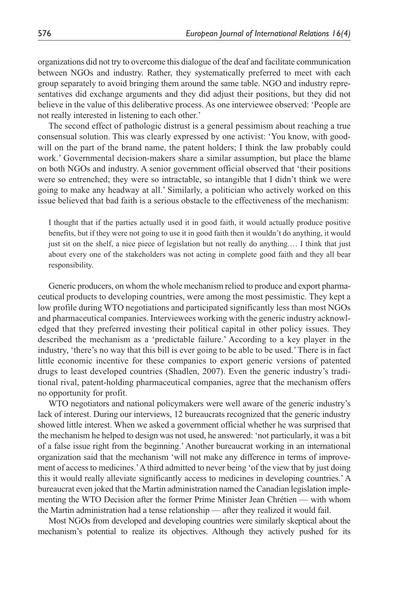organizations did not try to overcome this dialogue of the deaf and facilitate communication between NGOs and industry. Rather, they systematically preferred to meet with each group separately to avoid bringing them around the same table. NGO and industry representatives did exchange arguments and they did adjust their positions, but they did not believe in the value of this deliberative process. As one interviewee observed: 'People are not really interested in listening to each other.'

The second effect of pathologic distrust is a general pessimism about reaching a true consensual solution. This was clearly expressed by one activist: 'You know, with goodwill on the part of the brand name, the patent holders; I think the law probably could work.' Governmental decision-makers share a similar assumption, but place the blame on both NGOs and industry. A senior government official observed that 'their positions were so entrenched; they were so intractable, so intangible that I didn't think we were going to make any headway at all.' Similarly, a politician who actively worked on this issue believed that bad faith is a serious obstacle to the effectiveness of the mechanism:

I thought that if the parties actually used it in good faith, it would actually produce positive benefits, but if they were not going to use it in good faith then it wouldn't do anything, it would just sit on the shelf, a nice piece of legislation but not really do anything.… I think that just about every one of the stakeholders was not acting in complete good faith and they all bear responsibility.

Generic producers, on whom the whole mechanism relied to produce and export pharmaceutical products to developing countries, were among the most pessimistic. They kept a low profile during WTO negotiations and participated significantly less than most NGOs and pharmaceutical companies. Interviewees working with the generic industry acknowledged that they preferred investing their political capital in other policy issues. They described the mechanism as a 'predictable failure.' According to a key player in the industry, 'there's no way that this bill is ever going to be able to be used.' There is in fact little economic incentive for these companies to export generic versions of patented drugs to least developed countries (Shadlen, 2007). Even the generic industry's traditional rival, patent-holding pharmaceutical companies, agree that the mechanism offers no opportunity for profit.

WTO negotiators and national policymakers were well aware of the generic industry's lack of interest. During our interviews, 12 bureaucrats recognized that the generic industry showed little interest. When we asked a government official whether he was surprised that the mechanism he helped to design was not used, he answered: 'not particularly, it was a bit of a false issue right from the beginning.' Another bureaucrat working in an international organization said that the mechanism 'will not make any difference in terms of improvement of access to medicines.' A third admitted to never being 'of the view that by just doing this it would really alleviate significantly access to medicines in developing countries.' A bureaucrat even joked that the Martin administration named the Canadian legislation implementing the WTO Decision after the former Prime Minister Jean Chrétien — with whom the Martin administration had a tense relationship — after they realized it would fail.

Most NGOs from developed and developing countries were similarly skeptical about the mechanism's potential to realize its objectives. Although they actively pushed for its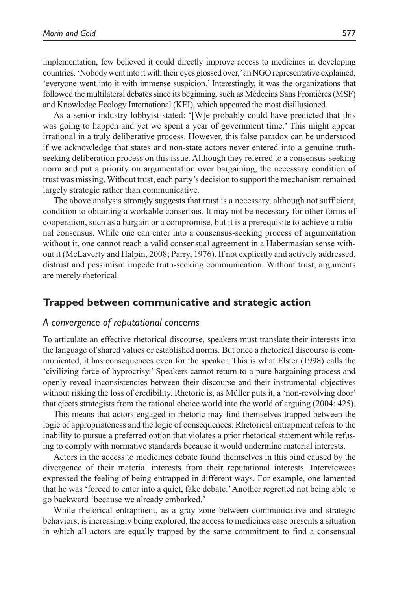implementation, few believed it could directly improve access to medicines in developing countries. 'Nobody went into it with their eyes glossed over,' an NGO representative explained, 'everyone went into it with immense suspicion.' Interestingly, it was the organizations that followed the multilateral debates since its beginning, such as Médecins Sans Frontières (MSF) and Knowledge Ecology International (KEI), which appeared the most disillusioned.

As a senior industry lobbyist stated: '[W]e probably could have predicted that this was going to happen and yet we spent a year of government time.' This might appear irrational in a truly deliberative process. However, this false paradox can be understood if we acknowledge that states and non-state actors never entered into a genuine truthseeking deliberation process on this issue. Although they referred to a consensus-seeking norm and put a priority on argumentation over bargaining, the necessary condition of trust was missing. Without trust, each party's decision to support the mechanism remained largely strategic rather than communicative.

The above analysis strongly suggests that trust is a necessary, although not sufficient, condition to obtaining a workable consensus. It may not be necessary for other forms of cooperation, such as a bargain or a compromise, but it is a prerequisite to achieve a rational consensus. While one can enter into a consensus-seeking process of argumentation without it, one cannot reach a valid consensual agreement in a Habermasian sense without it (McLaverty and Halpin, 2008; Parry, 1976). If not explicitly and actively addressed, distrust and pessimism impede truth-seeking communication. Without trust, arguments are merely rhetorical.

# **Trapped between communicative and strategic action**

#### *A convergence of reputational concerns*

To articulate an effective rhetorical discourse, speakers must translate their interests into the language of shared values or established norms. But once a rhetorical discourse is communicated, it has consequences even for the speaker. This is what Elster (1998) calls the 'civilizing force of hyprocrisy.' Speakers cannot return to a pure bargaining process and openly reveal inconsistencies between their discourse and their instrumental objectives without risking the loss of credibility. Rhetoric is, as Müller puts it, a 'non-revolving door' that ejects strategists from the rational choice world into the world of arguing (2004: 425).

This means that actors engaged in rhetoric may find themselves trapped between the logic of appropriateness and the logic of consequences. Rhetorical entrapment refers to the inability to pursue a preferred option that violates a prior rhetorical statement while refusing to comply with normative standards because it would undermine material interests.

Actors in the access to medicines debate found themselves in this bind caused by the divergence of their material interests from their reputational interests. Interviewees expressed the feeling of being entrapped in different ways. For example, one lamented that he was 'forced to enter into a quiet, fake debate.' Another regretted not being able to go backward 'because we already embarked.'

While rhetorical entrapment, as a gray zone between communicative and strategic behaviors, is increasingly being explored, the access to medicines case presents a situation in which all actors are equally trapped by the same commitment to find a consensual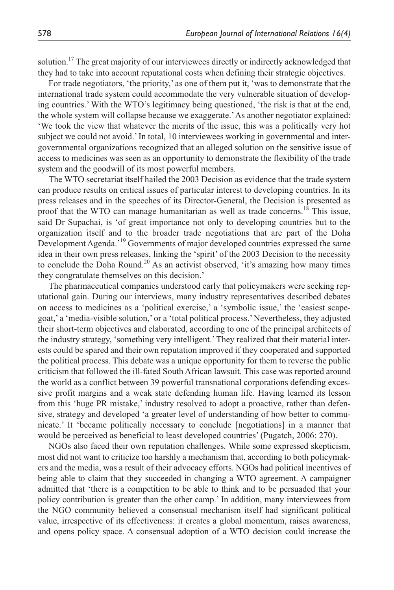solution.<sup>17</sup> The great majority of our interviewees directly or indirectly acknowledged that they had to take into account reputational costs when defining their strategic objectives.

For trade negotiators, 'the priority,' as one of them put it, 'was to demonstrate that the international trade system could accommodate the very vulnerable situation of developing countries.' With the WTO's legitimacy being questioned, 'the risk is that at the end, the whole system will collapse because we exaggerate.' As another negotiator explained: 'We took the view that whatever the merits of the issue, this was a politically very hot subject we could not avoid.' In total, 10 interviewees working in governmental and intergovernmental organizations recognized that an alleged solution on the sensitive issue of access to medicines was seen as an opportunity to demonstrate the flexibility of the trade system and the goodwill of its most powerful members.

The WTO secretariat itself hailed the 2003 Decision as evidence that the trade system can produce results on critical issues of particular interest to developing countries. In its press releases and in the speeches of its Director-General, the Decision is presented as proof that the WTO can manage humanitarian as well as trade concerns.<sup>18</sup> This issue, said Dr Supachai, is 'of great importance not only to developing countries but to the organization itself and to the broader trade negotiations that are part of the Doha Development Agenda.'19 Governments of major developed countries expressed the same idea in their own press releases, linking the 'spirit' of the 2003 Decision to the necessity to conclude the Doha Round.<sup>20</sup> As an activist observed, 'it's amazing how many times they congratulate themselves on this decision.'

The pharmaceutical companies understood early that policymakers were seeking reputational gain. During our interviews, many industry representatives described debates on access to medicines as a 'political exercise,' a 'symbolic issue,' the 'easiest scapegoat,' a 'media-visible solution,' or a 'total political process.' Nevertheless, they adjusted their short-term objectives and elaborated, according to one of the principal architects of the industry strategy, 'something very intelligent.' They realized that their material interests could be spared and their own reputation improved if they cooperated and supported the political process. This debate was a unique opportunity for them to reverse the public criticism that followed the ill-fated South African lawsuit. This case was reported around the world as a conflict between 39 powerful transnational corporations defending excessive profit margins and a weak state defending human life. Having learned its lesson from this 'huge PR mistake,' industry resolved to adopt a proactive, rather than defensive, strategy and developed 'a greater level of understanding of how better to communicate.' It 'became politically necessary to conclude [negotiations] in a manner that would be perceived as beneficial to least developed countries' (Pugatch, 2006: 270).

NGOs also faced their own reputation challenges. While some expressed skepticism, most did not want to criticize too harshly a mechanism that, according to both policymakers and the media, was a result of their advocacy efforts. NGOs had political incentives of being able to claim that they succeeded in changing a WTO agreement. A campaigner admitted that 'there is a competition to be able to think and to be persuaded that your policy contribution is greater than the other camp.' In addition, many interviewees from the NGO community believed a consensual mechanism itself had significant political value, irrespective of its effectiveness: it creates a global momentum, raises awareness, and opens policy space. A consensual adoption of a WTO decision could increase the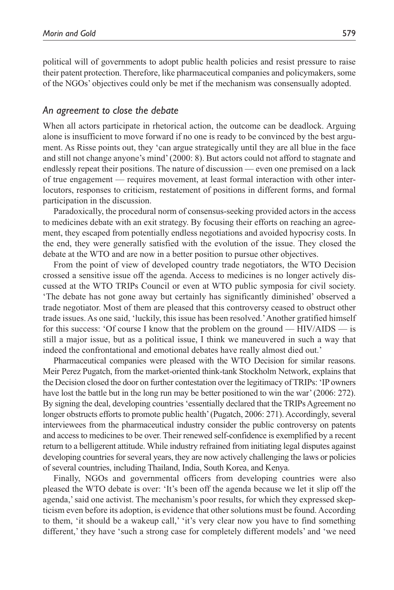political will of governments to adopt public health policies and resist pressure to raise their patent protection. Therefore, like pharmaceutical companies and policymakers, some of the NGOs' objectives could only be met if the mechanism was consensually adopted.

#### *An agreement to close the debate*

When all actors participate in rhetorical action, the outcome can be deadlock. Arguing alone is insufficient to move forward if no one is ready to be convinced by the best argument. As Risse points out, they 'can argue strategically until they are all blue in the face and still not change anyone's mind' (2000: 8). But actors could not afford to stagnate and endlessly repeat their positions. The nature of discussion — even one premised on a lack of true engagement — requires movement, at least formal interaction with other interlocutors, responses to criticism, restatement of positions in different forms, and formal participation in the discussion.

Paradoxically, the procedural norm of consensus-seeking provided actors in the access to medicines debate with an exit strategy. By focusing their efforts on reaching an agreement, they escaped from potentially endless negotiations and avoided hypocrisy costs. In the end, they were generally satisfied with the evolution of the issue. They closed the debate at the WTO and are now in a better position to pursue other objectives.

From the point of view of developed country trade negotiators, the WTO Decision crossed a sensitive issue off the agenda. Access to medicines is no longer actively discussed at the WTO TRIPs Council or even at WTO public symposia for civil society. 'The debate has not gone away but certainly has significantly diminished' observed a trade negotiator. Most of them are pleased that this controversy ceased to obstruct other trade issues. As one said, 'luckily, this issue has been resolved.' Another gratified himself for this success: 'Of course I know that the problem on the ground — HIV/AIDS — is still a major issue, but as a political issue, I think we maneuvered in such a way that indeed the confrontational and emotional debates have really almost died out.'

Pharmaceutical companies were pleased with the WTO Decision for similar reasons. Meir Perez Pugatch, from the market-oriented think-tank Stockholm Network, explains that the Decision closed the door on further contestation over the legitimacy of TRIPs: 'IP owners have lost the battle but in the long run may be better positioned to win the war' (2006: 272). By signing the deal, developing countries 'essentially declared that the TRIPs Agreement no longer obstructs efforts to promote public health' (Pugatch, 2006: 271). Accordingly, several interviewees from the pharmaceutical industry consider the public controversy on patents and access to medicines to be over. Their renewed self-confidence is exemplified by a recent return to a belligerent attitude. While industry refrained from initiating legal disputes against developing countries for several years, they are now actively challenging the laws or policies of several countries, including Thailand, India, South Korea, and Kenya.

Finally, NGOs and governmental officers from developing countries were also pleased the WTO debate is over: 'It's been off the agenda because we let it slip off the agenda,' said one activist. The mechanism's poor results, for which they expressed skepticism even before its adoption, is evidence that other solutions must be found. According to them, 'it should be a wakeup call,' 'it's very clear now you have to find something different,' they have 'such a strong case for completely different models' and 'we need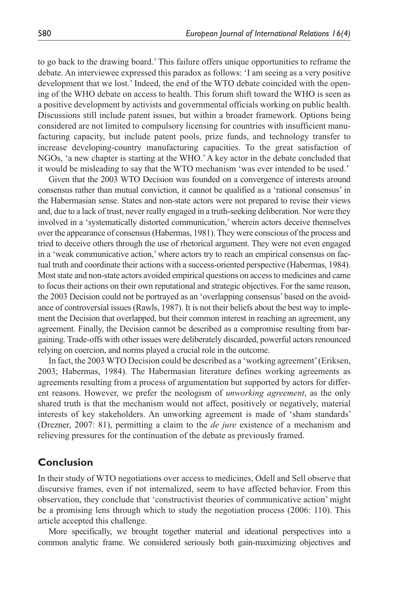to go back to the drawing board.' This failure offers unique opportunities to reframe the debate. An interviewee expressed this paradox as follows: 'I am seeing as a very positive development that we lost.' Indeed, the end of the WTO debate coincided with the opening of the WHO debate on access to health. This forum shift toward the WHO is seen as a positive development by activists and governmental officials working on public health. Discussions still include patent issues, but within a broader framework. Options being considered are not limited to compulsory licensing for countries with insufficient manufacturing capacity, but include patent pools, prize funds, and technology transfer to increase developing-country manufacturing capacities. To the great satisfaction of NGOs, 'a new chapter is starting at the WHO.' A key actor in the debate concluded that it would be misleading to say that the WTO mechanism 'was ever intended to be used.'

Given that the 2003 WTO Decision was founded on a convergence of interests around consensus rather than mutual conviction, it cannot be qualified as a 'rational consensus' in the Habermasian sense. States and non-state actors were not prepared to revise their views and, due to a lack of trust, never really engaged in a truth-seeking deliberation. Nor were they involved in a 'systematically distorted communication,' wherein actors deceive themselves over the appearance of consensus (Habermas, 1981). They were conscious of the process and tried to deceive others through the use of rhetorical argument. They were not even engaged in a 'weak communicative action,' where actors try to reach an empirical consensus on factual truth and coordinate their actions with a success-oriented perspective (Habermas, 1984). Most state and non-state actors avoided empirical questions on access to medicines and came to focus their actions on their own reputational and strategic objectives. For the same reason, the 2003 Decision could not be portrayed as an 'overlapping consensus' based on the avoidance of controversial issues (Rawls, 1987). It is not their beliefs about the best way to implement the Decision that overlapped, but their common interest in reaching an agreement, any agreement. Finally, the Decision cannot be described as a compromise resulting from bargaining. Trade-offs with other issues were deliberately discarded, powerful actors renounced relying on coercion, and norms played a crucial role in the outcome.

In fact, the 2003 WTO Decision could be described as a 'working agreement' (Eriksen, 2003; Habermas, 1984). The Habermasian literature defines working agreements as agreements resulting from a process of argumentation but supported by actors for different reasons. However, we prefer the neologism of *unworking agreement*, as the only shared truth is that the mechanism would not affect, positively or negatively, material interests of key stakeholders. An unworking agreement is made of 'sham standards' (Drezner, 2007: 81), permitting a claim to the *de jure* existence of a mechanism and relieving pressures for the continuation of the debate as previously framed.

## **Conclusion**

In their study of WTO negotiations over access to medicines, Odell and Sell observe that discursive frames, even if not internalized, seem to have affected behavior. From this observation, they conclude that 'constructivist theories of communicative action' might be a promising lens through which to study the negotiation process (2006: 110). This article accepted this challenge.

More specifically, we brought together material and ideational perspectives into a common analytic frame. We considered seriously both gain-maximizing objectives and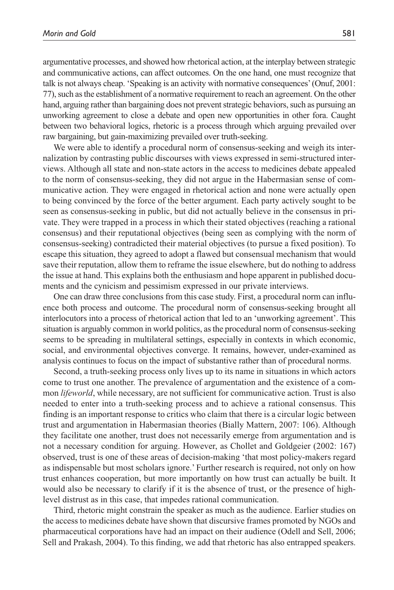argumentative processes, and showed how rhetorical action, at the interplay between strategic and communicative actions, can affect outcomes. On the one hand, one must recognize that talk is not always cheap. 'Speaking is an activity with normative consequences' (Onuf, 2001: 77), such as the establishment of a normative requirement to reach an agreement. On the other hand, arguing rather than bargaining does not prevent strategic behaviors, such as pursuing an unworking agreement to close a debate and open new opportunities in other fora. Caught between two behavioral logics, rhetoric is a process through which arguing prevailed over raw bargaining, but gain-maximizing prevailed over truth-seeking.

We were able to identify a procedural norm of consensus-seeking and weigh its internalization by contrasting public discourses with views expressed in semi-structured interviews. Although all state and non-state actors in the access to medicines debate appealed to the norm of consensus-seeking, they did not argue in the Habermasian sense of communicative action. They were engaged in rhetorical action and none were actually open to being convinced by the force of the better argument. Each party actively sought to be seen as consensus-seeking in public, but did not actually believe in the consensus in private. They were trapped in a process in which their stated objectives (reaching a rational consensus) and their reputational objectives (being seen as complying with the norm of consensus-seeking) contradicted their material objectives (to pursue a fixed position). To escape this situation, they agreed to adopt a flawed but consensual mechanism that would save their reputation, allow them to reframe the issue elsewhere, but do nothing to address the issue at hand. This explains both the enthusiasm and hope apparent in published documents and the cynicism and pessimism expressed in our private interviews.

One can draw three conclusions from this case study. First, a procedural norm can influence both process and outcome. The procedural norm of consensus-seeking brought all interlocutors into a process of rhetorical action that led to an 'unworking agreement'. This situation is arguably common in world politics, as the procedural norm of consensus-seeking seems to be spreading in multilateral settings, especially in contexts in which economic, social, and environmental objectives converge. It remains, however, under-examined as analysis continues to focus on the impact of substantive rather than of procedural norms.

Second, a truth-seeking process only lives up to its name in situations in which actors come to trust one another. The prevalence of argumentation and the existence of a common *lifeworld*, while necessary, are not sufficient for communicative action. Trust is also needed to enter into a truth-seeking process and to achieve a rational consensus. This finding is an important response to critics who claim that there is a circular logic between trust and argumentation in Habermasian theories (Bially Mattern, 2007: 106). Although they facilitate one another, trust does not necessarily emerge from argumentation and is not a necessary condition for arguing. However, as Chollet and Goldgeier (2002: 167) observed, trust is one of these areas of decision-making 'that most policy-makers regard as indispensable but most scholars ignore.' Further research is required, not only on how trust enhances cooperation, but more importantly on how trust can actually be built. It would also be necessary to clarify if it is the absence of trust, or the presence of highlevel distrust as in this case, that impedes rational communication.

Third, rhetoric might constrain the speaker as much as the audience. Earlier studies on the access to medicines debate have shown that discursive frames promoted by NGOs and pharmaceutical corporations have had an impact on their audience (Odell and Sell, 2006; Sell and Prakash, 2004). To this finding, we add that rhetoric has also entrapped speakers.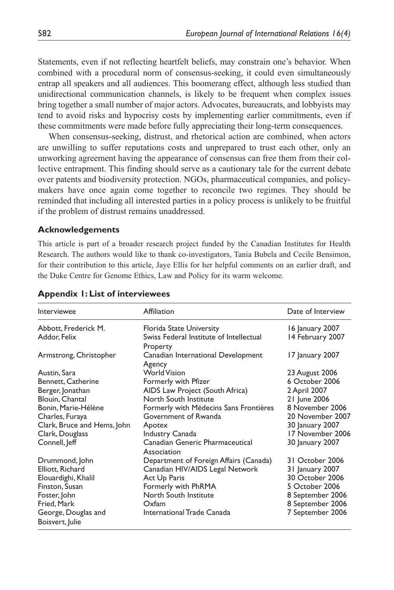Statements, even if not reflecting heartfelt beliefs, may constrain one's behavior. When combined with a procedural norm of consensus-seeking, it could even simultaneously entrap all speakers and all audiences. This boomerang effect, although less studied than unidirectional communication channels, is likely to be frequent when complex issues bring together a small number of major actors. Advocates, bureaucrats, and lobbyists may tend to avoid risks and hypocrisy costs by implementing earlier commitments, even if these commitments were made before fully appreciating their long-term consequences.

When consensus-seeking, distrust, and rhetorical action are combined, when actors are unwilling to suffer reputations costs and unprepared to trust each other, only an unworking agreement having the appearance of consensus can free them from their collective entrapment. This finding should serve as a cautionary tale for the current debate over patents and biodiversity protection. NGOs, pharmaceutical companies, and policymakers have once again come together to reconcile two regimes. They should be reminded that including all interested parties in a policy process is unlikely to be fruitful if the problem of distrust remains unaddressed.

#### **Acknowledgements**

This article is part of a broader research project funded by the Canadian Institutes for Health Research. The authors would like to thank co-investigators, Tania Bubela and Cecile Bensimon, for their contribution to this article, Jaye Ellis for her helpful comments on an earlier draft, and the Duke Centre for Genome Ethics, Law and Policy for its warm welcome.

| Interviewee                 | Affiliation                                         | Date of Interview |
|-----------------------------|-----------------------------------------------------|-------------------|
| Abbott, Frederick M.        | Florida State University                            | 16 January 2007   |
| Addor, Felix                | Swiss Federal Institute of Intellectual<br>Property | 14 February 2007  |
| Armstrong, Christopher      | Canadian International Development<br>Agency        | 17 January 2007   |
| Austin, Sara                | <b>World Vision</b>                                 | 23 August 2006    |
| Bennett, Catherine          | Formerly with Pfizer                                | 6 October 2006    |
| Berger, Jonathan            | AIDS Law Project (South Africa)                     | 2 April 2007      |
| Blouin, Chantal             | North South Institute                               | 21 June 2006      |
| Bonin, Marie-Hélène         | Formerly with Médecins Sans Frontières              | 8 November 2006   |
| Charles, Furaya             | Government of Rwanda                                | 20 November 2007  |
| Clark, Bruce and Hems, John | Apotex                                              | 30 January 2007   |
| Clark, Douglass             | Industry Canada                                     | 17 November 2006  |
| Connell, Jeff               | Canadian Generic Pharmaceutical<br>Association      | 30 January 2007   |
| Drummond, John              | Department of Foreign Affairs (Canada)              | 31 October 2006   |
| Elliott, Richard            | Canadian HIV/AIDS Legal Network                     | 31 January 2007   |
| Elouardighi, Khalil         | Act Up Paris                                        | 30 October 2006   |
| Finston, Susan              | Formerly with PhRMA                                 | 5 October 2006    |
| Foster, John                | North South Institute                               | 8 September 2006  |
| Fried, Mark                 | Oxfam                                               | 8 September 2006  |
| George, Douglas and         | International Trade Canada                          | 7 September 2006  |
| Boisvert, Julie             |                                                     |                   |

#### **Appendix 1: List of interviewees**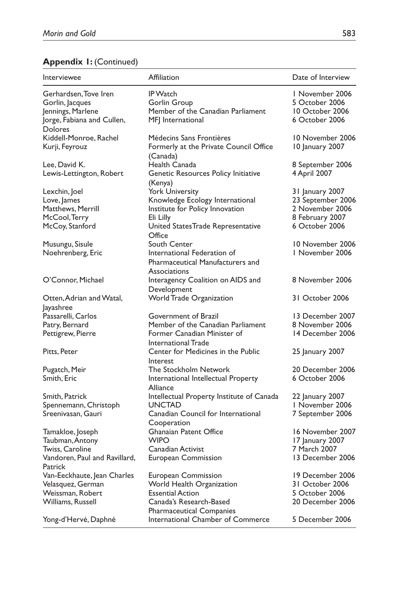# **Appendix I: (Continued)**

| Interviewee                      | Affiliation                                                        | Date of Interview                    |
|----------------------------------|--------------------------------------------------------------------|--------------------------------------|
| Gerhardsen, Tove Iren            | IP Watch                                                           | I November 2006                      |
| Gorlin, Jacques                  | Gorlin Group                                                       | 5 October 2006                       |
| Jennings, Marlene                | Member of the Canadian Parliament                                  | 10 October 2006                      |
| Jorge, Fabiana and Cullen,       | MF International                                                   | 6 October 2006                       |
| <b>Dolores</b>                   |                                                                    |                                      |
| Kiddell-Monroe, Rachel           | Médecins Sans Frontières                                           | 10 November 2006                     |
| Kurji, Feyrouz                   | Formerly at the Private Council Office                             | 10 January 2007                      |
|                                  | (Canada)                                                           |                                      |
| Lee, David K.                    | Health Canada                                                      | 8 September 2006                     |
| Lewis-Lettington, Robert         | Genetic Resources Policy Initiative                                | 4 April 2007                         |
|                                  | (Kenya)<br><b>York University</b>                                  |                                      |
| Lexchin, Joel                    |                                                                    | 31 January 2007                      |
| Love, James<br>Matthews, Merrill | Knowledge Ecology International<br>Institute for Policy Innovation | 23 September 2006<br>2 November 2006 |
| McCool, Terry                    | Eli Lilly                                                          |                                      |
| McCoy, Stanford                  | United States Trade Representative                                 | 8 February 2007<br>6 October 2006    |
|                                  | Office                                                             |                                      |
| Musungu, Sisule                  | South Center                                                       | 10 November 2006                     |
| Noehrenberg, Eric                | International Federation of                                        | I November 2006                      |
|                                  | <b>Pharmaceutical Manufacturers and</b>                            |                                      |
|                                  | Associations                                                       |                                      |
| O'Connor, Michael                | Interagency Coalition on AIDS and                                  | 8 November 2006                      |
|                                  | Development                                                        |                                      |
| Otten, Adrian and Watal,         | World Trade Organization                                           | 31 October 2006                      |
| layashree                        |                                                                    |                                      |
| Passarelli, Carlos               | Government of Brazil                                               | 13 December 2007                     |
| Patry, Bernard                   | Member of the Canadian Parliament                                  | 8 November 2006                      |
| Pettigrew, Pierre                | Former Canadian Minister of                                        | 14 December 2006                     |
|                                  | International Trade                                                |                                      |
| Pitts, Peter                     | Center for Medicines in the Public                                 | 25 January 2007                      |
|                                  | Interest                                                           |                                      |
| Pugatch, Meir                    | The Stockholm Network                                              | 20 December 2006                     |
| Smith, Eric                      | International Intellectual Property                                | 6 October 2006                       |
|                                  | Alliance                                                           |                                      |
| Smith, Patrick                   | Intellectual Property Institute of Canada                          | 22 January 2007                      |
| Spennemann, Christoph            | <b>UNCTAD</b>                                                      | I November 2006                      |
| Sreenivasan, Gauri               | Canadian Council for International                                 | 7 September 2006                     |
|                                  | Cooperation                                                        |                                      |
| Tamakloe, Joseph                 | <b>Ghanaian Patent Office</b>                                      | 16 November 2007                     |
| Taubman, Antony                  | <b>WIPO</b>                                                        | 17 January 2007                      |
| Twiss, Caroline                  | Canadian Activist                                                  | 7 March 2007                         |
| Vandoren, Paul and Ravillard,    | European Commission                                                | 13 December 2006                     |
| Patrick                          |                                                                    |                                      |
| Van-Eeckhaute, Jean Charles      | European Commission                                                | 19 December 2006                     |
| Velasquez, German                | World Health Organization                                          | 31 October 2006                      |
| Weissman, Robert                 | <b>Essential Action</b>                                            | 5 October 2006                       |
| Williams, Russell                | Canada's Research-Based                                            | 20 December 2006                     |
|                                  | <b>Pharmaceutical Companies</b>                                    |                                      |
| Yong-d'Hervé, Daphné             | International Chamber of Commerce                                  | 5 December 2006                      |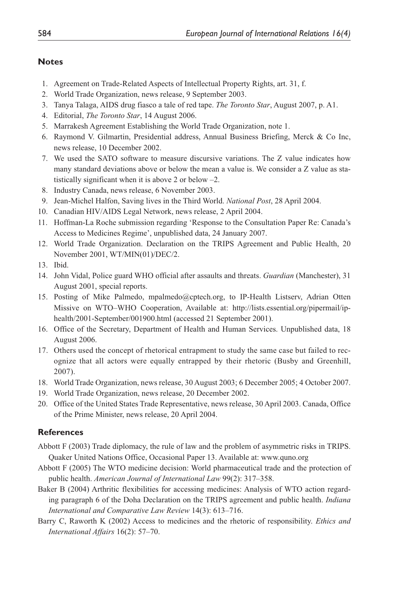## **Notes**

- 1. Agreement on Trade-Related Aspects of Intellectual Property Rights, art. 31, f.
- 2. World Trade Organization, news release, 9 September 2003.
- 3. Tanya Talaga, AIDS drug fiasco a tale of red tape. *The Toronto Star*, August 2007, p. A1.
- 4. Editorial, *The Toronto Star*, 14 August 2006.
- 5. Marrakesh Agreement Establishing the World Trade Organization, note 1.
- 6. Raymond V. Gilmartin, Presidential address, Annual Business Briefing, Merck & Co Inc, news release, 10 December 2002.
- 7. We used the SATO software to measure discursive variations. The Z value indicates how many standard deviations above or below the mean a value is. We consider a Z value as statistically significant when it is above 2 or below –2.
- 8. Industry Canada, news release, 6 November 2003.
- 9. Jean-Michel Halfon, Saving lives in the Third World. *National Post*, 28 April 2004.
- 10. Canadian HIV/AIDS Legal Network, news release, 2 April 2004.
- 11. Hoffman-La Roche submission regarding 'Response to the Consultation Paper Re: Canada's Access to Medicines Regime', unpublished data, 24 January 2007.
- 12. World Trade Organization. Declaration on the TRIPS Agreement and Public Health, 20 November 2001, WT/MIN(01)/DEC/2.
- 13. Ibid.
- 14. John Vidal, Police guard WHO official after assaults and threats. *Guardian* (Manchester), 31 August 2001, special reports.
- 15. Posting of Mike Palmedo, mpalmedo@cptech.org, to IP-Health Listserv, Adrian Otten Missive on WTO–WHO Cooperation, Available at: http://lists.essential.org/pipermail/iphealth/2001-September/001900.html (accessed 21 September 2001).
- 16. Office of the Secretary, Department of Health and Human Services. Unpublished data, 18 August 2006.
- 17. Others used the concept of rhetorical entrapment to study the same case but failed to recognize that all actors were equally entrapped by their rhetoric (Busby and Greenhill, 2007).
- 18. World Trade Organization, news release, 30 August 2003; 6 December 2005; 4 October 2007.
- 19. World Trade Organization, news release, 20 December 2002.
- 20. Office of the United States Trade Representative, news release, 30 April 2003. Canada, Office of the Prime Minister, news release, 20 April 2004.

## **References**

- Abbott F (2003) Trade diplomacy, the rule of law and the problem of asymmetric risks in TRIPS. Quaker United Nations Office, Occasional Paper 13. Available at: www.quno.org
- Abbott F (2005) The WTO medicine decision: World pharmaceutical trade and the protection of public health. *American Journal of International Law* 99(2): 317–358.
- Baker B (2004) Arthritic flexibilities for accessing medicines: Analysis of WTO action regarding paragraph 6 of the Doha Declaration on the TRIPS agreement and public health. *Indiana International and Comparative Law Review* 14(3): 613–716.
- Barry C, Raworth K (2002) Access to medicines and the rhetoric of responsibility. *Ethics and International Affairs* 16(2): 57–70.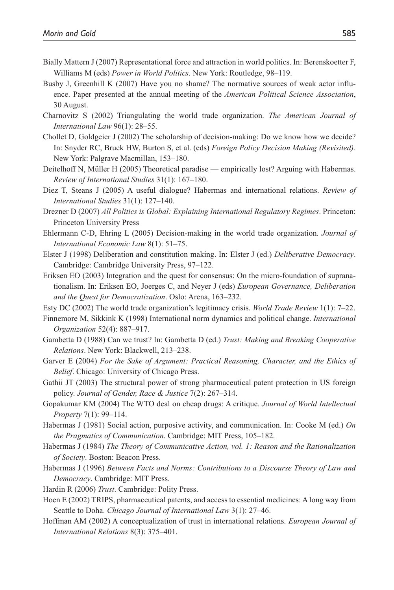- Bially Mattern J (2007) Representational force and attraction in world politics. In: Berenskoetter F, Williams M (eds) *Power in World Politics*. New York: Routledge, 98–119.
- Busby J, Greenhill K (2007) Have you no shame? The normative sources of weak actor influence. Paper presented at the annual meeting of the *American Political Science Association*, 30 August.
- Charnovitz S (2002) Triangulating the world trade organization. *The American Journal of International Law* 96(1): 28–55.
- Chollet D, Goldgeier J (2002) The scholarship of decision-making: Do we know how we decide? In: Snyder RC, Bruck HW, Burton S, et al. (eds) *Foreign Policy Decision Making (Revisited)*. New York: Palgrave Macmillan, 153–180.
- Deitelhoff N, Müller H (2005) Theoretical paradise empirically lost? Arguing with Habermas. *Review of International Studies* 31(1): 167–180.
- Diez T, Steans J (2005) A useful dialogue? Habermas and international relations. *Review of International Studies* 31(1): 127–140.
- Drezner D (2007) *All Politics is Global: Explaining International Regulatory Regimes*. Princeton: Princeton University Press
- Ehlermann C-D, Ehring L (2005) Decision-making in the world trade organization. *Journal of International Economic Law* 8(1): 51–75.
- Elster J (1998) Deliberation and constitution making. In: Elster J (ed.) *Deliberative Democracy*. Cambridge: Cambridge University Press, 97–122.
- Eriksen EO (2003) Integration and the quest for consensus: On the micro-foundation of supranationalism. In: Eriksen EO, Joerges C, and Neyer J (eds) *European Governance, Deliberation and the Quest for Democratization*. Oslo: Arena, 163–232.
- Esty DC (2002) The world trade organization's legitimacy crisis. *World Trade Review* 1(1): 7–22.
- Finnemore M, Sikkink K (1998) International norm dynamics and political change. *International Organization* 52(4): 887–917.
- Gambetta D (1988) Can we trust? In: Gambetta D (ed.) *Trust: Making and Breaking Cooperative Relations*. New York: Blackwell, 213–238.
- Garver E (2004) *For the Sake of Argument: Practical Reasoning, Character, and the Ethics of Belief*. Chicago: University of Chicago Press.
- Gathii JT (2003) The structural power of strong pharmaceutical patent protection in US foreign policy. *Journal of Gender, Race & Justice* 7(2): 267–314.
- Gopakumar KM (2004) The WTO deal on cheap drugs: A critique. *Journal of World Intellectual Property* 7(1): 99–114.
- Habermas J (1981) Social action, purposive activity, and communication. In: Cooke M (ed.) *On the Pragmatics of Communication*. Cambridge: MIT Press, 105–182.
- Habermas J (1984) *The Theory of Communicative Action, vol. 1: Reason and the Rationalization of Society*. Boston: Beacon Press.
- Habermas J (1996) *Between Facts and Norms: Contributions to a Discourse Theory of Law and Democracy*. Cambridge: MIT Press.
- Hardin R (2006) *Trust*. Cambridge: Polity Press.
- Hoen E (2002) TRIPS, pharmaceutical patents, and access to essential medicines: A long way from Seattle to Doha. *Chicago Journal of International Law* 3(1): 27–46.
- Hoffman AM (2002) A conceptualization of trust in international relations. *European Journal of International Relations* 8(3): 375–401.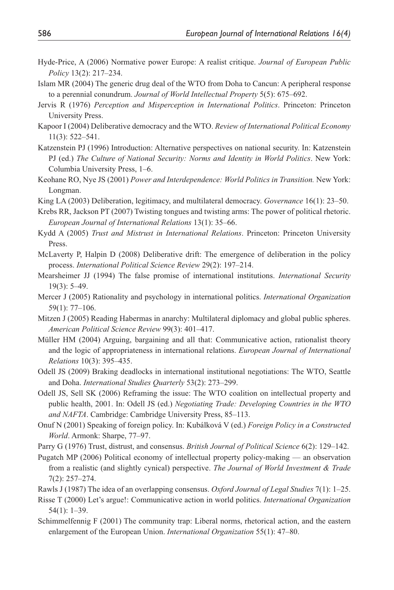- Hyde-Price, A (2006) Normative power Europe: A realist critique. *Journal of European Public Policy* 13(2): 217–234.
- Islam MR (2004) The generic drug deal of the WTO from Doha to Cancun: A peripheral response to a perennial conundrum. *Journal of World Intellectual Property* 5(5): 675–692.
- Jervis R (1976) *Perception and Misperception in International Politics*. Princeton: Princeton University Press.
- Kapoor I (2004) Deliberative democracy and the WTO. *Review of International Political Economy* 11(3): 522–541.
- Katzenstein PJ (1996) Introduction: Alternative perspectives on national security. In: Katzenstein PJ (ed.) *The Culture of National Security: Norms and Identity in World Politics*. New York: Columbia University Press, 1–6.
- Keohane RO, Nye JS (2001) *Power and Interdependence: World Politics in Transition.* New York: Longman.
- King LA (2003) Deliberation, legitimacy, and multilateral democracy. *Governance* 16(1): 23–50.
- Krebs RR, Jackson PT (2007) Twisting tongues and twisting arms: The power of political rhetoric. *European Journal of International Relations* 13(1): 35–66.

Kydd A (2005) *Trust and Mistrust in International Relations*. Princeton: Princeton University Press.

- McLaverty P, Halpin D (2008) Deliberative drift: The emergence of deliberation in the policy process. *International Political Science Review* 29(2): 197–214.
- Mearsheimer JJ (1994) The false promise of international institutions. *International Security*  19(3): 5–49.
- Mercer J (2005) Rationality and psychology in international politics. *International Organization* 59(1): 77–106.
- Mitzen J (2005) Reading Habermas in anarchy: Multilateral diplomacy and global public spheres. *American Political Science Review* 99(3): 401–417.
- Müller HM (2004) Arguing, bargaining and all that: Communicative action, rationalist theory and the logic of appropriateness in international relations. *European Journal of International Relations* 10(3): 395–435.
- Odell JS (2009) Braking deadlocks in international institutional negotiations: The WTO, Seattle and Doha. *International Studies Quarterly* 53(2): 273–299.
- Odell JS, Sell SK (2006) Reframing the issue: The WTO coalition on intellectual property and public health, 2001. In: Odell JS (ed.) *Negotiating Trade: Developing Countries in the WTO and NAFTA*. Cambridge: Cambridge University Press, 85–113.
- Onuf N (2001) Speaking of foreign policy. In: Kubálková V (ed.) *Foreign Policy in a Constructed World*. Armonk: Sharpe, 77–97.
- Parry G (1976) Trust, distrust, and consensus. *British Journal of Political Science* 6(2): 129–142.
- Pugatch MP (2006) Political economy of intellectual property policy-making an observation from a realistic (and slightly cynical) perspective. *The Journal of World Investment & Trade*  7(2): 257–274.
- Rawls J (1987) The idea of an overlapping consensus. *Oxford Journal of Legal Studies* 7(1): 1–25.
- Risse T (2000) Let's argue!: Communicative action in world politics. *International Organization*  54(1): 1–39.
- Schimmelfennig F (2001) The community trap: Liberal norms, rhetorical action, and the eastern enlargement of the European Union. *International Organization* 55(1): 47–80.